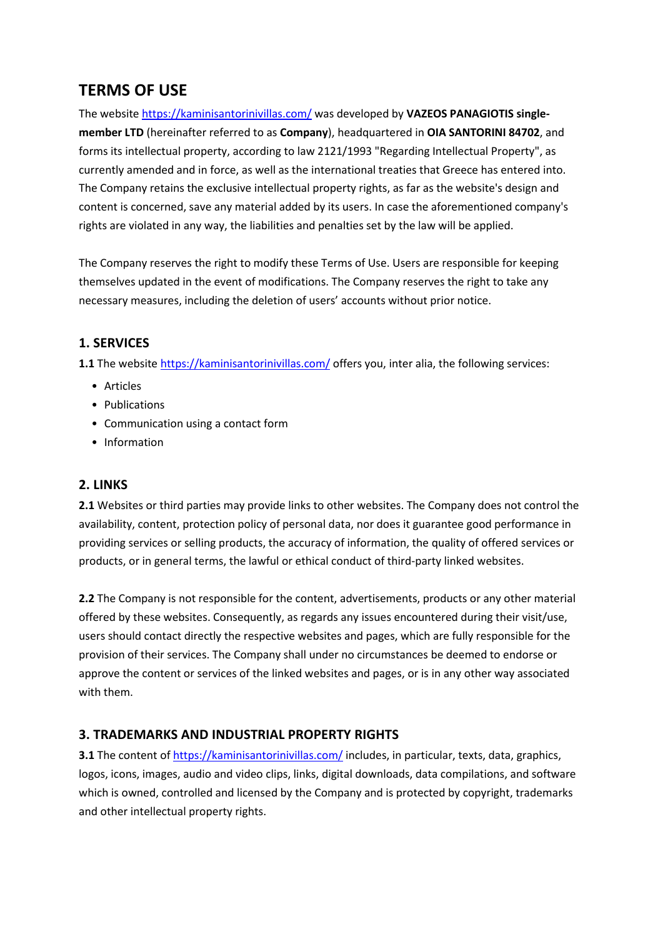# **TERMS OF USE**

The website <https://kaminisantorinivillas.com/> was developed by **VAZEOS PANAGIOTIS single member LTD** (hereinafter referred to as **Company**), headquartered in **OIA SANTORINI 84702**, and forms its intellectual property, according to law 2121/1993 "Regarding Intellectual Property", as currently amended and in force, as well as the international treaties that Greece has entered into. The Company retains the exclusive intellectual property rights, as far as the website's design and content is concerned, save any material added by its users. In case the aforementioned company's rights are violated in any way, the liabilities and penalties set by the law will be applied.

The Company reserves the right to modify these Terms of Use. Users are responsible for keeping themselves updated in the event of modifications. The Company reserves the right to take any necessary measures, including the deletion of users' accounts without prior notice.

## **1. SERVICES**

**1.1** The website <https://kaminisantorinivillas.com/> offers [you](https://anaimaktispondylodesia.gr/), inter alia, the following services:

- Articles
- Publications
- Communication using a contact form
- Information

## **2. LINKS**

**2.1** Websites or third parties may provide links to other websites. The Company does not control the availability, content, protection policy of personal data, nor does it guarantee good performance in providing services or selling products, the accuracy of information, the quality of offered services or products, or in general terms, the lawful or ethical conduct of third-party linked websites.

**2.2** The Company is not responsible for the content, advertisements, products or any other material offered by these websites. Consequently, as regards any issues encountered during their visit/use, users should contact directly the respective websites and pages, which are fully responsible for the provision of their services. The Company shall under no circumstances be deemed to endorse or approve the content or services of the linked websites and pages, or is in any other way associated with them.

## **3. TRADEMARKS AND INDUSTRIAL PROPERTY RIGHTS**

**3.1** The content of <https://kaminisantorinivillas.com/> includes, in particular, texts, data, graphics, logos, icons, images, audio and video clips, links, digital downloads, data compilations, and software which is owned, controlled and licensed by the Company and is protected by copyright, trademarks and other intellectual property rights.